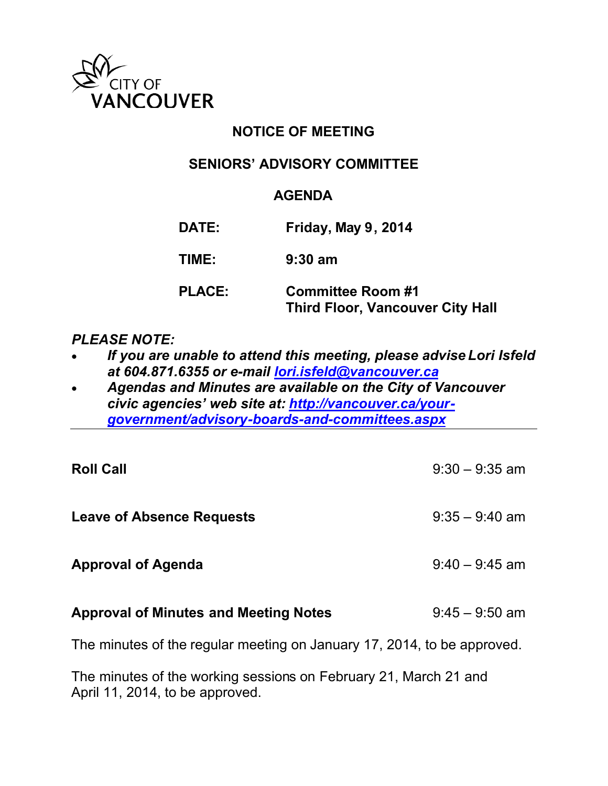

# **NOTICE OF MEETING**

### **SENIORS' ADVISORY COMMITTEE**

#### **AGENDA**

| DATE:         | Friday, May 9, 2014                                                 |
|---------------|---------------------------------------------------------------------|
| TIME:         | $9:30$ am                                                           |
| <b>PLACE:</b> | <b>Committee Room #1</b><br><b>Third Floor, Vancouver City Hall</b> |

### *PLEASE NOTE:*

- *If you are unable to attend this meeting, please advise Lori Isfeld at 604.871.6355 or e-mail [lori.isfeld@vancouver.ca](mailto:lori.isfeld@vancouver.ca)*
- *Agendas and Minutes are available on the City of Vancouver civic agencies' web site at: [http://vancouver.ca/your](http://vancouver.ca/your-government/advisory-boards-and-committees.aspx)[government/advisory-boards-and-committees.aspx](http://vancouver.ca/your-government/advisory-boards-and-committees.aspx)*

| <b>Roll Call</b>                                                        | $9:30 - 9:35$ am |  |
|-------------------------------------------------------------------------|------------------|--|
| <b>Leave of Absence Requests</b>                                        | $9:35 - 9:40$ am |  |
| <b>Approval of Agenda</b>                                               | $9:40 - 9:45$ am |  |
| <b>Approval of Minutes and Meeting Notes</b>                            | $9:45 - 9:50$ am |  |
| The minutes of the regular meeting on January 17, 2014, to be approved. |                  |  |

The minutes of the working sessions on February 21, March 21 and April 11, 2014, to be approved.